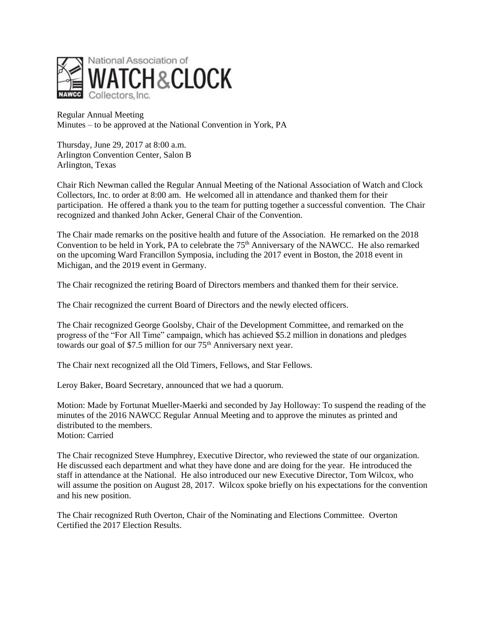

Regular Annual Meeting Minutes – to be approved at the National Convention in York, PA

Thursday, June 29, 2017 at 8:00 a.m. Arlington Convention Center, Salon B Arlington, Texas

Chair Rich Newman called the Regular Annual Meeting of the National Association of Watch and Clock Collectors, Inc. to order at 8:00 am. He welcomed all in attendance and thanked them for their participation. He offered a thank you to the team for putting together a successful convention. The Chair recognized and thanked John Acker, General Chair of the Convention.

The Chair made remarks on the positive health and future of the Association. He remarked on the 2018 Convention to be held in York, PA to celebrate the  $75<sup>th</sup>$  Anniversary of the NAWCC. He also remarked on the upcoming Ward Francillon Symposia, including the 2017 event in Boston, the 2018 event in Michigan, and the 2019 event in Germany.

The Chair recognized the retiring Board of Directors members and thanked them for their service.

The Chair recognized the current Board of Directors and the newly elected officers.

The Chair recognized George Goolsby, Chair of the Development Committee, and remarked on the progress of the "For All Time" campaign, which has achieved \$5.2 million in donations and pledges towards our goal of \$7.5 million for our  $75<sup>th</sup>$  Anniversary next year.

The Chair next recognized all the Old Timers, Fellows, and Star Fellows.

Leroy Baker, Board Secretary, announced that we had a quorum.

Motion: Made by Fortunat Mueller-Maerki and seconded by Jay Holloway: To suspend the reading of the minutes of the 2016 NAWCC Regular Annual Meeting and to approve the minutes as printed and distributed to the members. Motion: Carried

The Chair recognized Steve Humphrey, Executive Director, who reviewed the state of our organization. He discussed each department and what they have done and are doing for the year. He introduced the staff in attendance at the National. He also introduced our new Executive Director, Tom Wilcox, who will assume the position on August 28, 2017. Wilcox spoke briefly on his expectations for the convention and his new position.

The Chair recognized Ruth Overton, Chair of the Nominating and Elections Committee. Overton Certified the 2017 Election Results.